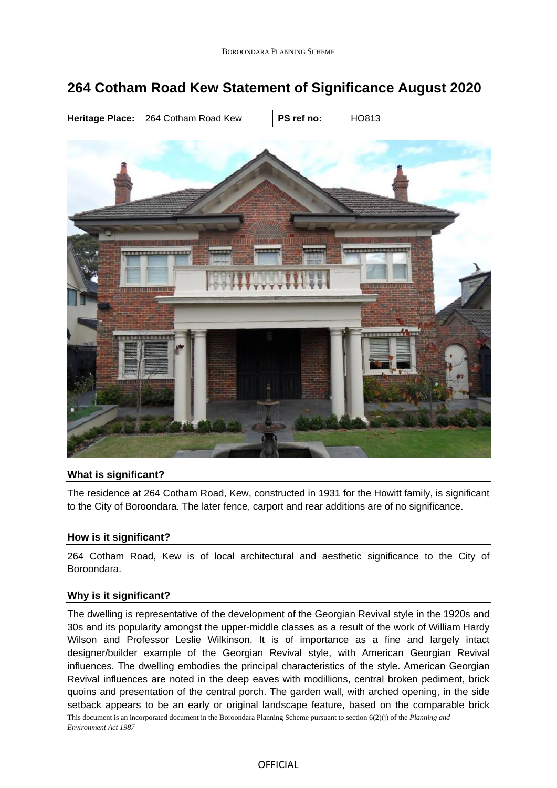# **264 Cotham Road Kew Statement of Significance August 2020**





## **What is significant?**

The residence at 264 Cotham Road, Kew, constructed in 1931 for the Howitt family, is significant to the City of Boroondara. The later fence, carport and rear additions are of no significance.

## **How is it significant?**

264 Cotham Road, Kew is of local architectural and aesthetic significance to the City of Boroondara.

## **Why is it significant?**

This document is an incorporated document in the Boroondara Planning Scheme pursuant to section 6(2)(j) of the *Planning and Environment Act 1987* The dwelling is representative of the development of the Georgian Revival style in the 1920s and 30s and its popularity amongst the upper-middle classes as a result of the work of William Hardy Wilson and Professor Leslie Wilkinson. It is of importance as a fine and largely intact designer/builder example of the Georgian Revival style, with American Georgian Revival influences. The dwelling embodies the principal characteristics of the style. American Georgian Revival influences are noted in the deep eaves with modillions, central broken pediment, brick quoins and presentation of the central porch. The garden wall, with arched opening, in the side setback appears to be an early or original landscape feature, based on the comparable brick